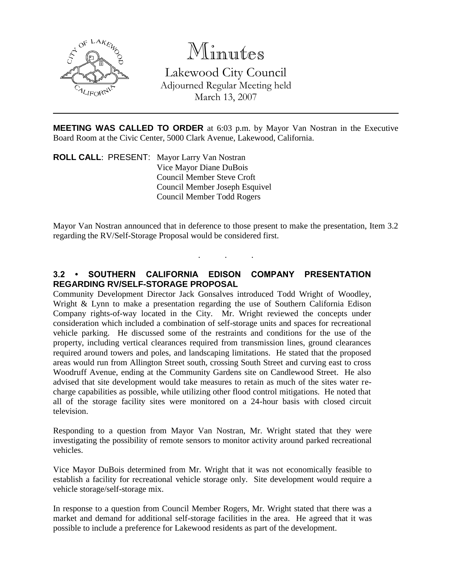

# Minutes

Lakewood City Council Adjourned Regular Meeting held March 13, 2007

**MEETING WAS CALLED TO ORDER** at 6:03 p.m. by Mayor Van Nostran in the Executive Board Room at the Civic Center, 5000 Clark Avenue, Lakewood, California.

**ROLL CALL**: PRESENT: Mayor Larry Van Nostran Vice Mayor Diane DuBois Council Member Steve Croft Council Member Joseph Esquivel Council Member Todd Rogers

Mayor Van Nostran announced that in deference to those present to make the presentation, Item 3.2 regarding the RV/Self-Storage Proposal would be considered first.

. . .

### **3.2 • SOUTHERN CALIFORNIA EDISON COMPANY PRESENTATION REGARDING RV/SELF-STORAGE PROPOSAL**

Community Development Director Jack Gonsalves introduced Todd Wright of Woodley, Wright & Lynn to make a presentation regarding the use of Southern California Edison Company rights-of-way located in the City. Mr. Wright reviewed the concepts under consideration which included a combination of self-storage units and spaces for recreational vehicle parking. He discussed some of the restraints and conditions for the use of the property, including vertical clearances required from transmission lines, ground clearances required around towers and poles, and landscaping limitations. He stated that the proposed areas would run from Allington Street south, crossing South Street and curving east to cross Woodruff Avenue, ending at the Community Gardens site on Candlewood Street. He also advised that site development would take measures to retain as much of the sites water recharge capabilities as possible, while utilizing other flood control mitigations. He noted that all of the storage facility sites were monitored on a 24-hour basis with closed circuit television.

Responding to a question from Mayor Van Nostran, Mr. Wright stated that they were investigating the possibility of remote sensors to monitor activity around parked recreational vehicles.

Vice Mayor DuBois determined from Mr. Wright that it was not economically feasible to establish a facility for recreational vehicle storage only. Site development would require a vehicle storage/self-storage mix.

In response to a question from Council Member Rogers, Mr. Wright stated that there was a market and demand for additional self-storage facilities in the area. He agreed that it was possible to include a preference for Lakewood residents as part of the development.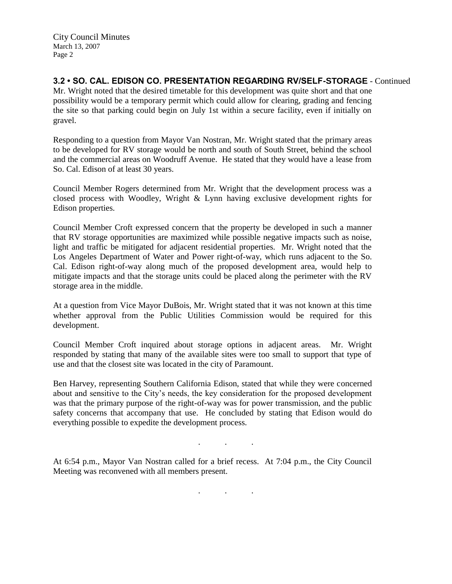City Council Minutes March 13, 2007 Page 2

## **3.2 • SO. CAL. EDISON CO. PRESENTATION REGARDING RV/SELF-STORAGE** - Continued

Mr. Wright noted that the desired timetable for this development was quite short and that one possibility would be a temporary permit which could allow for clearing, grading and fencing the site so that parking could begin on July 1st within a secure facility, even if initially on gravel.

Responding to a question from Mayor Van Nostran, Mr. Wright stated that the primary areas to be developed for RV storage would be north and south of South Street, behind the school and the commercial areas on Woodruff Avenue. He stated that they would have a lease from So. Cal. Edison of at least 30 years.

Council Member Rogers determined from Mr. Wright that the development process was a closed process with Woodley, Wright & Lynn having exclusive development rights for Edison properties.

Council Member Croft expressed concern that the property be developed in such a manner that RV storage opportunities are maximized while possible negative impacts such as noise, light and traffic be mitigated for adjacent residential properties. Mr. Wright noted that the Los Angeles Department of Water and Power right-of-way, which runs adjacent to the So. Cal. Edison right-of-way along much of the proposed development area, would help to mitigate impacts and that the storage units could be placed along the perimeter with the RV storage area in the middle.

At a question from Vice Mayor DuBois, Mr. Wright stated that it was not known at this time whether approval from the Public Utilities Commission would be required for this development.

Council Member Croft inquired about storage options in adjacent areas. Mr. Wright responded by stating that many of the available sites were too small to support that type of use and that the closest site was located in the city of Paramount.

Ben Harvey, representing Southern California Edison, stated that while they were concerned about and sensitive to the City's needs, the key consideration for the proposed development was that the primary purpose of the right-of-way was for power transmission, and the public safety concerns that accompany that use. He concluded by stating that Edison would do everything possible to expedite the development process.

At 6:54 p.m., Mayor Van Nostran called for a brief recess. At 7:04 p.m., the City Council Meeting was reconvened with all members present.

. . .

. . .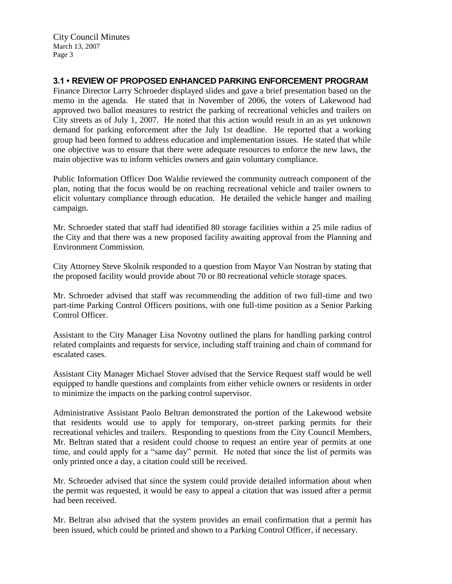City Council Minutes March 13, 2007 Page 3

# **3.1 • REVIEW OF PROPOSED ENHANCED PARKING ENFORCEMENT PROGRAM**

Finance Director Larry Schroeder displayed slides and gave a brief presentation based on the memo in the agenda. He stated that in November of 2006, the voters of Lakewood had approved two ballot measures to restrict the parking of recreational vehicles and trailers on City streets as of July 1, 2007. He noted that this action would result in an as yet unknown demand for parking enforcement after the July 1st deadline. He reported that a working group had been formed to address education and implementation issues. He stated that while one objective was to ensure that there were adequate resources to enforce the new laws, the main objective was to inform vehicles owners and gain voluntary compliance.

Public Information Officer Don Waldie reviewed the community outreach component of the plan, noting that the focus would be on reaching recreational vehicle and trailer owners to elicit voluntary compliance through education. He detailed the vehicle hanger and mailing campaign.

Mr. Schroeder stated that staff had identified 80 storage facilities within a 25 mile radius of the City and that there was a new proposed facility awaiting approval from the Planning and Environment Commission.

City Attorney Steve Skolnik responded to a question from Mayor Van Nostran by stating that the proposed facility would provide about 70 or 80 recreational vehicle storage spaces.

Mr. Schroeder advised that staff was recommending the addition of two full-time and two part-time Parking Control Officers positions, with one full-time position as a Senior Parking Control Officer.

Assistant to the City Manager Lisa Novotny outlined the plans for handling parking control related complaints and requests for service, including staff training and chain of command for escalated cases.

Assistant City Manager Michael Stover advised that the Service Request staff would be well equipped to handle questions and complaints from either vehicle owners or residents in order to minimize the impacts on the parking control supervisor.

Administrative Assistant Paolo Beltran demonstrated the portion of the Lakewood website that residents would use to apply for temporary, on-street parking permits for their recreational vehicles and trailers. Responding to questions from the City Council Members, Mr. Beltran stated that a resident could choose to request an entire year of permits at one time, and could apply for a "same day" permit. He noted that since the list of permits was only printed once a day, a citation could still be received.

Mr. Schroeder advised that since the system could provide detailed information about when the permit was requested, it would be easy to appeal a citation that was issued after a permit had been received.

Mr. Beltran also advised that the system provides an email confirmation that a permit has been issued, which could be printed and shown to a Parking Control Officer, if necessary.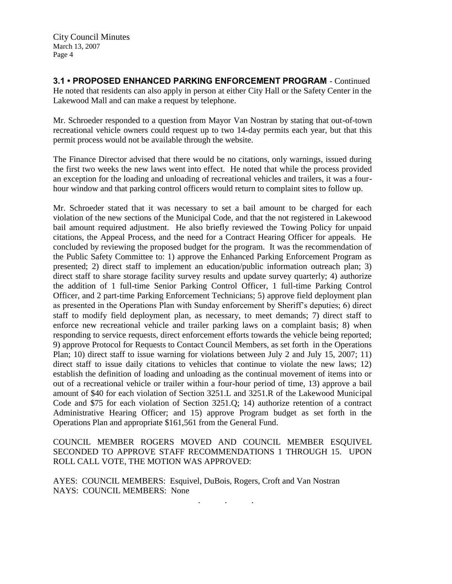**3.1 • PROPOSED ENHANCED PARKING ENFORCEMENT PROGRAM** - Continued He noted that residents can also apply in person at either City Hall or the Safety Center in the Lakewood Mall and can make a request by telephone.

Mr. Schroeder responded to a question from Mayor Van Nostran by stating that out-of-town recreational vehicle owners could request up to two 14-day permits each year, but that this permit process would not be available through the website.

The Finance Director advised that there would be no citations, only warnings, issued during the first two weeks the new laws went into effect. He noted that while the process provided an exception for the loading and unloading of recreational vehicles and trailers, it was a fourhour window and that parking control officers would return to complaint sites to follow up.

Mr. Schroeder stated that it was necessary to set a bail amount to be charged for each violation of the new sections of the Municipal Code, and that the not registered in Lakewood bail amount required adjustment. He also briefly reviewed the Towing Policy for unpaid citations, the Appeal Process, and the need for a Contract Hearing Officer for appeals. He concluded by reviewing the proposed budget for the program. It was the recommendation of the Public Safety Committee to: 1) approve the Enhanced Parking Enforcement Program as presented; 2) direct staff to implement an education/public information outreach plan; 3) direct staff to share storage facility survey results and update survey quarterly; 4) authorize the addition of 1 full-time Senior Parking Control Officer, 1 full-time Parking Control Officer, and 2 part-time Parking Enforcement Technicians; 5) approve field deployment plan as presented in the Operations Plan with Sunday enforcement by Sheriff's deputies; 6) direct staff to modify field deployment plan, as necessary, to meet demands; 7) direct staff to enforce new recreational vehicle and trailer parking laws on a complaint basis; 8) when responding to service requests, direct enforcement efforts towards the vehicle being reported; 9) approve Protocol for Requests to Contact Council Members, as set forth in the Operations Plan; 10) direct staff to issue warning for violations between July 2 and July 15, 2007; 11) direct staff to issue daily citations to vehicles that continue to violate the new laws; 12) establish the definition of loading and unloading as the continual movement of items into or out of a recreational vehicle or trailer within a four-hour period of time, 13) approve a bail amount of \$40 for each violation of Section 3251.L and 3251.R of the Lakewood Municipal Code and \$75 for each violation of Section 3251.Q; 14) authorize retention of a contract Administrative Hearing Officer; and 15) approve Program budget as set forth in the Operations Plan and appropriate \$161,561 from the General Fund.

COUNCIL MEMBER ROGERS MOVED AND COUNCIL MEMBER ESQUIVEL SECONDED TO APPROVE STAFF RECOMMENDATIONS 1 THROUGH 15. UPON ROLL CALL VOTE, THE MOTION WAS APPROVED:

. . .

AYES: COUNCIL MEMBERS: Esquivel, DuBois, Rogers, Croft and Van Nostran NAYS: COUNCIL MEMBERS: None